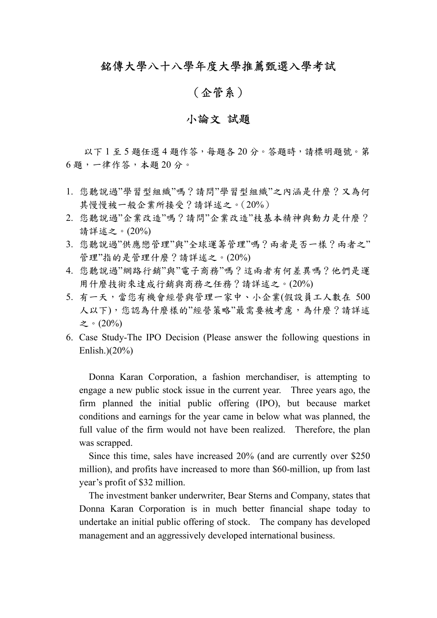## 銘傳大學八十八學年度大學推薦甄選入學考試

## (企管系)

## 小論文 試題

以下1至5題任選4題作答,每題各20分。答題時,請標明題號。第 6 題,一律作答,本題 20 分。

- 1. 您聽說過"學習型組織"嗎?請問"學習型組織"之內涵是什麼?又為何 其慢慢被一般企業所接受?請詳述之。(20%)
- 2. 您聽說過"企業改造"嗎?請問"企業改造"枝基本精神與動力是什麼? 請詳述之。(20%)
- 3. 您聽說過"供應戀管理"與"全球運籌管理"嗎?兩者是否一樣?兩者之" 管理"指的是管理什麼?請詳述之。(20%)
- 4. 您聽說過"網路行銷"與"電子商務"嗎?這兩者有何差異嗎?他們是運 用什麼技術來達成行銷與商務之任務?請詳述之。(20%)
- 5. 有一天,當您有機會經營與管理一家中、小企業(假設員工人數在 500 人以下),您認為什麼樣的"經營策略"最需要被考慮,為什麼?請詳述 之。(20%)
- 6. Case Study-The IPO Decision (Please answer the following questions in Enlish.)(20%)

Donna Karan Corporation, a fashion merchandiser, is attempting to engage a new public stock issue in the current year. Three years ago, the firm planned the initial public offering (IPO), but because market conditions and earnings for the year came in below what was planned, the full value of the firm would not have been realized. Therefore, the plan was scrapped.

 Since this time, sales have increased 20% (and are currently over \$250 million), and profits have increased to more than \$60-million, up from last year's profit of \$32 million.

 The investment banker underwriter, Bear Sterns and Company, states that Donna Karan Corporation is in much better financial shape today to undertake an initial public offering of stock. The company has developed management and an aggressively developed international business.